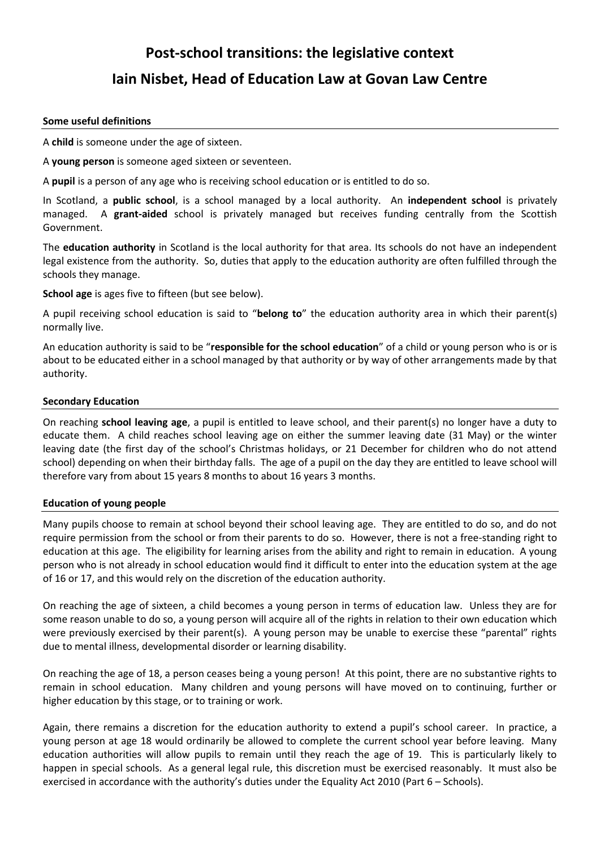# **Post-school transitions: the legislative context Iain Nisbet, Head of Education Law at Govan Law Centre**

## **Some useful definitions**

A **child** is someone under the age of sixteen.

A **young person** is someone aged sixteen or seventeen.

A **pupil** is a person of any age who is receiving school education or is entitled to do so.

In Scotland, a **public school**, is a school managed by a local authority. An **independent school** is privately managed. A **grant-aided** school is privately managed but receives funding centrally from the Scottish Government.

The **education authority** in Scotland is the local authority for that area. Its schools do not have an independent legal existence from the authority. So, duties that apply to the education authority are often fulfilled through the schools they manage.

**School age** is ages five to fifteen (but see below).

A pupil receiving school education is said to "**belong to**" the education authority area in which their parent(s) normally live.

An education authority is said to be "**responsible for the school education**" of a child or young person who is or is about to be educated either in a school managed by that authority or by way of other arrangements made by that authority.

#### **Secondary Education**

On reaching **school leaving age**, a pupil is entitled to leave school, and their parent(s) no longer have a duty to educate them. A child reaches school leaving age on either the summer leaving date (31 May) or the winter leaving date (the first day of the school's Christmas holidays, or 21 December for children who do not attend school) depending on when their birthday falls. The age of a pupil on the day they are entitled to leave school will therefore vary from about 15 years 8 months to about 16 years 3 months.

## **Education of young people**

Many pupils choose to remain at school beyond their school leaving age. They are entitled to do so, and do not require permission from the school or from their parents to do so. However, there is not a free-standing right to education at this age. The eligibility for learning arises from the ability and right to remain in education. A young person who is not already in school education would find it difficult to enter into the education system at the age of 16 or 17, and this would rely on the discretion of the education authority.

On reaching the age of sixteen, a child becomes a young person in terms of education law. Unless they are for some reason unable to do so, a young person will acquire all of the rights in relation to their own education which were previously exercised by their parent(s). A young person may be unable to exercise these "parental" rights due to mental illness, developmental disorder or learning disability.

On reaching the age of 18, a person ceases being a young person! At this point, there are no substantive rights to remain in school education. Many children and young persons will have moved on to continuing, further or higher education by this stage, or to training or work.

Again, there remains a discretion for the education authority to extend a pupil's school career. In practice, a young person at age 18 would ordinarily be allowed to complete the current school year before leaving. Many education authorities will allow pupils to remain until they reach the age of 19. This is particularly likely to happen in special schools. As a general legal rule, this discretion must be exercised reasonably. It must also be exercised in accordance with the authority's duties under the Equality Act 2010 (Part 6 – Schools).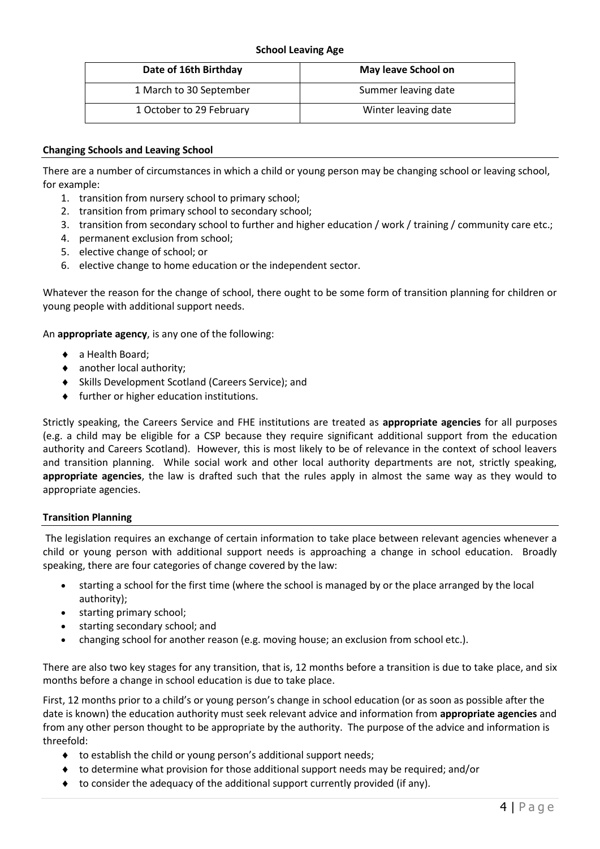# **School Leaving Age**

| Date of 16th Birthday    | May leave School on |
|--------------------------|---------------------|
| 1 March to 30 September  | Summer leaving date |
| 1 October to 29 February | Winter leaving date |

# **Changing Schools and Leaving School**

There are a number of circumstances in which a child or young person may be changing school or leaving school, for example:

- 1. transition from nursery school to primary school;
- 2. transition from primary school to secondary school;
- 3. transition from secondary school to further and higher education / work / training / community care etc.;
- 4. permanent exclusion from school;
- 5. elective change of school; or
- 6. elective change to home education or the independent sector.

Whatever the reason for the change of school, there ought to be some form of transition planning for children or young people with additional support needs.

An **appropriate agency**, is any one of the following:

- ◆ a Health Board;
- another local authority;
- Skills Development Scotland (Careers Service); and
- $\bullet$  further or higher education institutions.

Strictly speaking, the Careers Service and FHE institutions are treated as **appropriate agencies** for all purposes (e.g. a child may be eligible for a CSP because they require significant additional support from the education authority and Careers Scotland). However, this is most likely to be of relevance in the context of school leavers and transition planning. While social work and other local authority departments are not, strictly speaking, **appropriate agencies**, the law is drafted such that the rules apply in almost the same way as they would to appropriate agencies.

## **Transition Planning**

The legislation requires an exchange of certain information to take place between relevant agencies whenever a child or young person with additional support needs is approaching a change in school education. Broadly speaking, there are four categories of change covered by the law:

- starting a school for the first time (where the school is managed by or the place arranged by the local authority);
- starting primary school;
- starting secondary school; and
- changing school for another reason (e.g. moving house; an exclusion from school etc.).

There are also two key stages for any transition, that is, 12 months before a transition is due to take place, and six months before a change in school education is due to take place.

First, 12 months prior to a child's or young person's change in school education (or as soon as possible after the date is known) the education authority must seek relevant advice and information from **appropriate agencies** and from any other person thought to be appropriate by the authority. The purpose of the advice and information is threefold:

- ◆ to establish the child or young person's additional support needs;
- $\bullet$  to determine what provision for those additional support needs may be required; and/or
- $\bullet$  to consider the adequacy of the additional support currently provided (if any).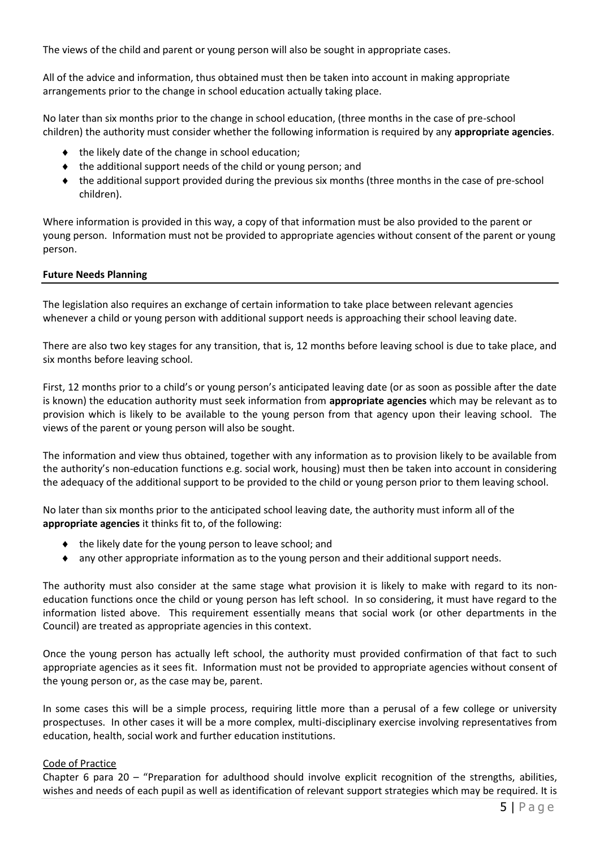The views of the child and parent or young person will also be sought in appropriate cases.

All of the advice and information, thus obtained must then be taken into account in making appropriate arrangements prior to the change in school education actually taking place.

No later than six months prior to the change in school education, (three months in the case of pre-school children) the authority must consider whether the following information is required by any **appropriate agencies**.

- $\bullet$  the likely date of the change in school education;
- $\bullet$  the additional support needs of the child or young person; and
- the additional support provided during the previous six months (three months in the case of pre-school children).

Where information is provided in this way, a copy of that information must be also provided to the parent or young person. Information must not be provided to appropriate agencies without consent of the parent or young person.

## **Future Needs Planning**

The legislation also requires an exchange of certain information to take place between relevant agencies whenever a child or young person with additional support needs is approaching their school leaving date.

There are also two key stages for any transition, that is, 12 months before leaving school is due to take place, and six months before leaving school.

First, 12 months prior to a child's or young person's anticipated leaving date (or as soon as possible after the date is known) the education authority must seek information from **appropriate agencies** which may be relevant as to provision which is likely to be available to the young person from that agency upon their leaving school. The views of the parent or young person will also be sought.

The information and view thus obtained, together with any information as to provision likely to be available from the authority's non-education functions e.g. social work, housing) must then be taken into account in considering the adequacy of the additional support to be provided to the child or young person prior to them leaving school.

No later than six months prior to the anticipated school leaving date, the authority must inform all of the **appropriate agencies** it thinks fit to, of the following:

- the likely date for the young person to leave school; and
- any other appropriate information as to the young person and their additional support needs.

The authority must also consider at the same stage what provision it is likely to make with regard to its noneducation functions once the child or young person has left school. In so considering, it must have regard to the information listed above. This requirement essentially means that social work (or other departments in the Council) are treated as appropriate agencies in this context.

Once the young person has actually left school, the authority must provided confirmation of that fact to such appropriate agencies as it sees fit. Information must not be provided to appropriate agencies without consent of the young person or, as the case may be, parent.

In some cases this will be a simple process, requiring little more than a perusal of a few college or university prospectuses. In other cases it will be a more complex, multi-disciplinary exercise involving representatives from education, health, social work and further education institutions.

## Code of Practice

Chapter 6 para 20 – "Preparation for adulthood should involve explicit recognition of the strengths, abilities, wishes and needs of each pupil as well as identification of relevant support strategies which may be required. It is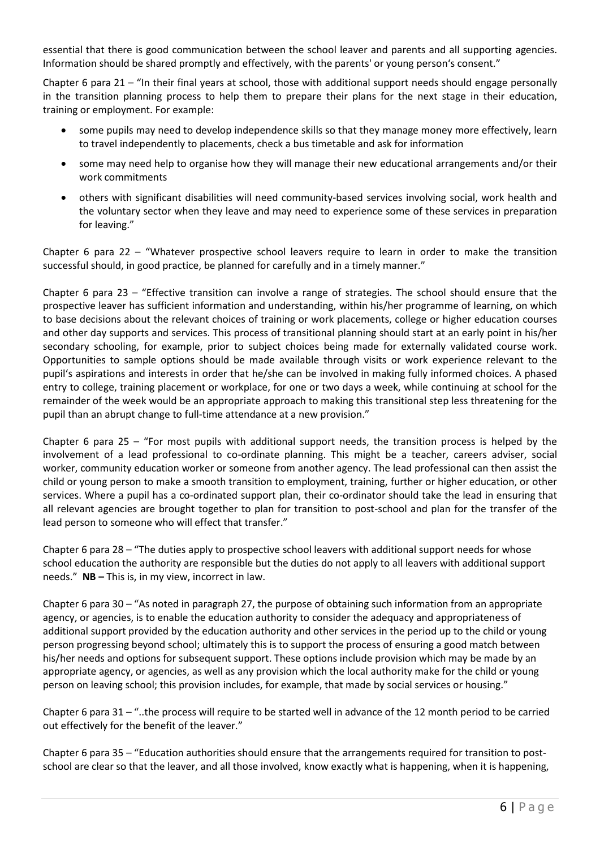essential that there is good communication between the school leaver and parents and all supporting agencies. Information should be shared promptly and effectively, with the parents' or young person's consent."

Chapter 6 para 21 – "In their final years at school, those with additional support needs should engage personally in the transition planning process to help them to prepare their plans for the next stage in their education, training or employment. For example:

- some pupils may need to develop independence skills so that they manage money more effectively, learn to travel independently to placements, check a bus timetable and ask for information
- some may need help to organise how they will manage their new educational arrangements and/or their work commitments
- others with significant disabilities will need community-based services involving social, work health and the voluntary sector when they leave and may need to experience some of these services in preparation for leaving."

Chapter 6 para 22 – "Whatever prospective school leavers require to learn in order to make the transition successful should, in good practice, be planned for carefully and in a timely manner."

Chapter 6 para 23 – "Effective transition can involve a range of strategies. The school should ensure that the prospective leaver has sufficient information and understanding, within his/her programme of learning, on which to base decisions about the relevant choices of training or work placements, college or higher education courses and other day supports and services. This process of transitional planning should start at an early point in his/her secondary schooling, for example, prior to subject choices being made for externally validated course work. Opportunities to sample options should be made available through visits or work experience relevant to the pupil's aspirations and interests in order that he/she can be involved in making fully informed choices. A phased entry to college, training placement or workplace, for one or two days a week, while continuing at school for the remainder of the week would be an appropriate approach to making this transitional step less threatening for the pupil than an abrupt change to full-time attendance at a new provision."

Chapter 6 para 25 – "For most pupils with additional support needs, the transition process is helped by the involvement of a lead professional to co-ordinate planning. This might be a teacher, careers adviser, social worker, community education worker or someone from another agency. The lead professional can then assist the child or young person to make a smooth transition to employment, training, further or higher education, or other services. Where a pupil has a co-ordinated support plan, their co-ordinator should take the lead in ensuring that all relevant agencies are brought together to plan for transition to post-school and plan for the transfer of the lead person to someone who will effect that transfer."

Chapter 6 para 28 – "The duties apply to prospective school leavers with additional support needs for whose school education the authority are responsible but the duties do not apply to all leavers with additional support needs." **NB –** This is, in my view, incorrect in law.

Chapter 6 para 30 – "As noted in paragraph 27, the purpose of obtaining such information from an appropriate agency, or agencies, is to enable the education authority to consider the adequacy and appropriateness of additional support provided by the education authority and other services in the period up to the child or young person progressing beyond school; ultimately this is to support the process of ensuring a good match between his/her needs and options for subsequent support. These options include provision which may be made by an appropriate agency, or agencies, as well as any provision which the local authority make for the child or young person on leaving school; this provision includes, for example, that made by social services or housing."

Chapter 6 para 31 – "..the process will require to be started well in advance of the 12 month period to be carried out effectively for the benefit of the leaver."

Chapter 6 para 35 – "Education authorities should ensure that the arrangements required for transition to postschool are clear so that the leaver, and all those involved, know exactly what is happening, when it is happening,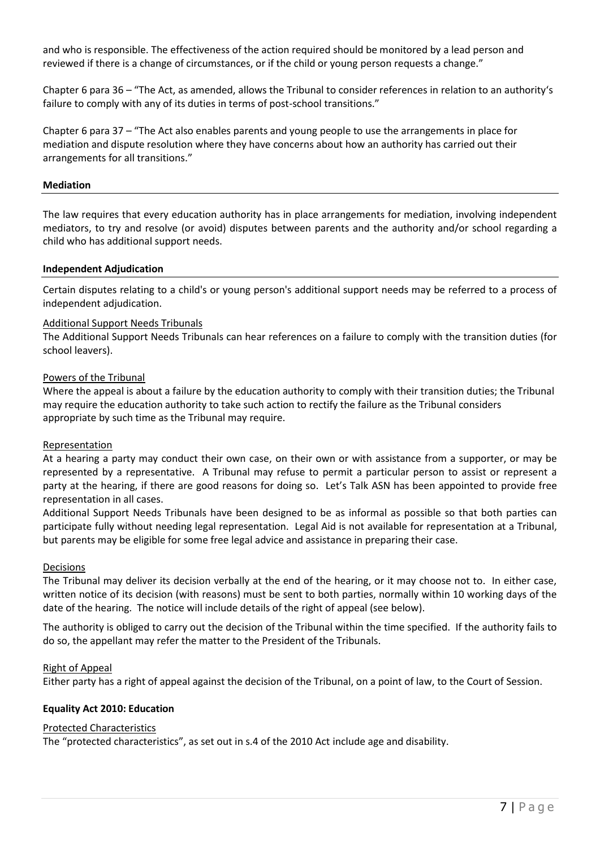and who is responsible. The effectiveness of the action required should be monitored by a lead person and reviewed if there is a change of circumstances, or if the child or young person requests a change."

Chapter 6 para 36 – "The Act, as amended, allows the Tribunal to consider references in relation to an authority's failure to comply with any of its duties in terms of post-school transitions."

Chapter 6 para 37 – "The Act also enables parents and young people to use the arrangements in place for mediation and dispute resolution where they have concerns about how an authority has carried out their arrangements for all transitions."

## **Mediation**

The law requires that every education authority has in place arrangements for mediation, involving independent mediators, to try and resolve (or avoid) disputes between parents and the authority and/or school regarding a child who has additional support needs.

#### **Independent Adjudication**

Certain disputes relating to a child's or young person's additional support needs may be referred to a process of independent adjudication.

#### Additional Support Needs Tribunals

The Additional Support Needs Tribunals can hear references on a failure to comply with the transition duties (for school leavers).

#### Powers of the Tribunal

Where the appeal is about a failure by the education authority to comply with their transition duties; the Tribunal may require the education authority to take such action to rectify the failure as the Tribunal considers appropriate by such time as the Tribunal may require.

#### Representation

At a hearing a party may conduct their own case, on their own or with assistance from a supporter, or may be represented by a representative. A Tribunal may refuse to permit a particular person to assist or represent a party at the hearing, if there are good reasons for doing so. Let's Talk ASN has been appointed to provide free representation in all cases.

Additional Support Needs Tribunals have been designed to be as informal as possible so that both parties can participate fully without needing legal representation. Legal Aid is not available for representation at a Tribunal, but parents may be eligible for some free legal advice and assistance in preparing their case.

#### Decisions

The Tribunal may deliver its decision verbally at the end of the hearing, or it may choose not to. In either case, written notice of its decision (with reasons) must be sent to both parties, normally within 10 working days of the date of the hearing. The notice will include details of the right of appeal (see below).

The authority is obliged to carry out the decision of the Tribunal within the time specified. If the authority fails to do so, the appellant may refer the matter to the President of the Tribunals.

#### Right of Appeal

Either party has a right of appeal against the decision of the Tribunal, on a point of law, to the Court of Session.

## **Equality Act 2010: Education**

#### Protected Characteristics

The "protected characteristics", as set out in s.4 of the 2010 Act include age and disability.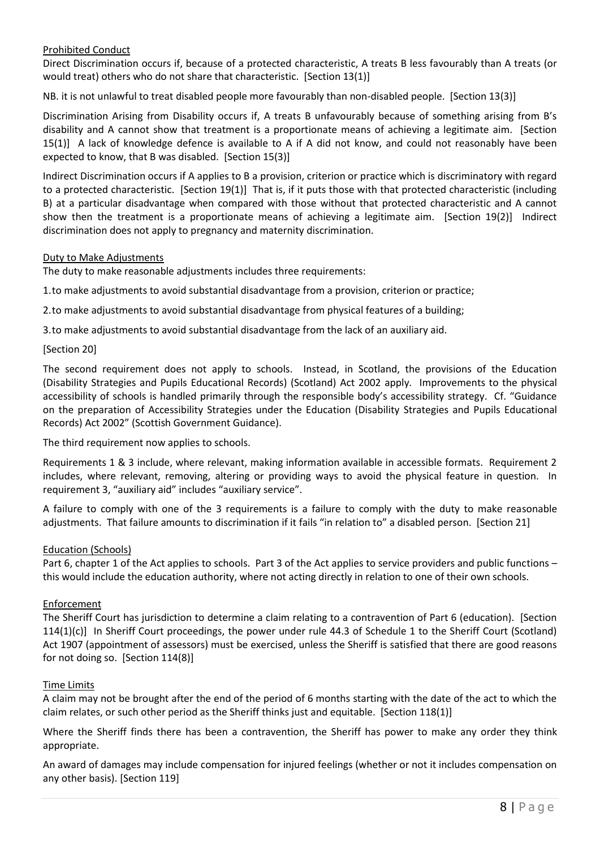# Prohibited Conduct

Direct Discrimination occurs if, because of a protected characteristic, A treats B less favourably than A treats (or would treat) others who do not share that characteristic. [Section 13(1)]

NB. it is not unlawful to treat disabled people more favourably than non-disabled people. [Section 13(3)]

Discrimination Arising from Disability occurs if, A treats B unfavourably because of something arising from B's disability and A cannot show that treatment is a proportionate means of achieving a legitimate aim. [Section 15(1)] A lack of knowledge defence is available to A if A did not know, and could not reasonably have been expected to know, that B was disabled. [Section 15(3)]

Indirect Discrimination occurs if A applies to B a provision, criterion or practice which is discriminatory with regard to a protected characteristic. [Section 19(1)] That is, if it puts those with that protected characteristic (including B) at a particular disadvantage when compared with those without that protected characteristic and A cannot show then the treatment is a proportionate means of achieving a legitimate aim. [Section 19(2)] Indirect discrimination does not apply to pregnancy and maternity discrimination.

## Duty to Make Adjustments

The duty to make reasonable adjustments includes three requirements:

1.to make adjustments to avoid substantial disadvantage from a provision, criterion or practice;

2.to make adjustments to avoid substantial disadvantage from physical features of a building;

3.to make adjustments to avoid substantial disadvantage from the lack of an auxiliary aid.

## [Section 20]

The second requirement does not apply to schools. Instead, in Scotland, the provisions of the Education (Disability Strategies and Pupils Educational Records) (Scotland) Act 2002 apply. Improvements to the physical accessibility of schools is handled primarily through the responsible body's accessibility strategy. Cf. "Guidance on the preparation of Accessibility Strategies under the Education (Disability Strategies and Pupils Educational Records) Act 2002" (Scottish Government Guidance).

The third requirement now applies to schools.

Requirements 1 & 3 include, where relevant, making information available in accessible formats. Requirement 2 includes, where relevant, removing, altering or providing ways to avoid the physical feature in question. In requirement 3, "auxiliary aid" includes "auxiliary service".

A failure to comply with one of the 3 requirements is a failure to comply with the duty to make reasonable adjustments. That failure amounts to discrimination if it fails "in relation to" a disabled person. [Section 21]

## Education (Schools)

Part 6, chapter 1 of the Act applies to schools. Part 3 of the Act applies to service providers and public functions – this would include the education authority, where not acting directly in relation to one of their own schools.

## Enforcement

The Sheriff Court has jurisdiction to determine a claim relating to a contravention of Part 6 (education). [Section 114(1)(c)] In Sheriff Court proceedings, the power under rule 44.3 of Schedule 1 to the Sheriff Court (Scotland) Act 1907 (appointment of assessors) must be exercised, unless the Sheriff is satisfied that there are good reasons for not doing so. [Section 114(8)]

## Time Limits

A claim may not be brought after the end of the period of 6 months starting with the date of the act to which the claim relates, or such other period as the Sheriff thinks just and equitable. [Section 118(1)]

Where the Sheriff finds there has been a contravention, the Sheriff has power to make any order they think appropriate.

An award of damages may include compensation for injured feelings (whether or not it includes compensation on any other basis). [Section 119]